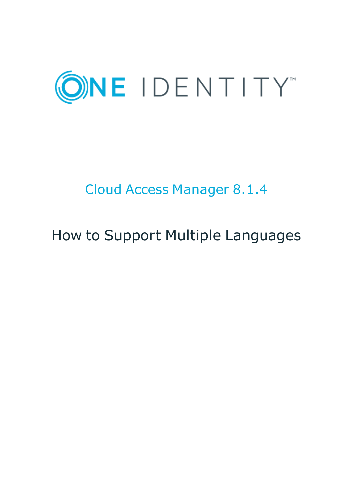

# Cloud Access Manager 8.1.4

# How to Support Multiple Languages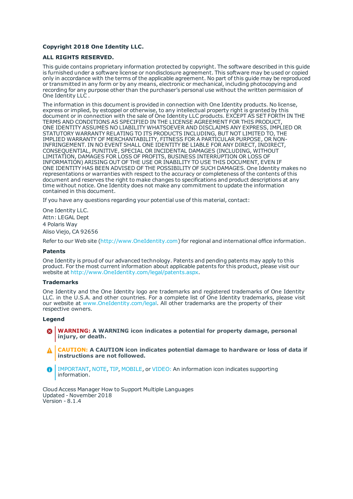### **Copyright 2018 One Identity LLC.**

### **ALL RIGHTS RESERVED.**

This guide contains proprietary information protected by copyright. The software described in this guide is furnished under a software license or nondisclosure agreement. This software may be used or copied only in accordance with the terms of the applicable agreement. No part of this guide may be reproduced or transmitted in any form or by any means, electronic or mechanical, including photocopying and recording for any purpose other than the purchaser's personal use without the written permission of One Identity LLC .

The information in this document is provided in connection with One Identity products. No license, express or implied, by estoppel or otherwise, to any intellectual property right is granted by this document or in connection with the sale of One Identity LLC products. EXCEPT AS SET FORTH IN THE TERMS AND CONDITIONS AS SPECIFIED IN THE LICENSE AGREEMENT FOR THIS PRODUCT, ONE IDENTITY ASSUMES NO LIABILITY WHATSOEVER AND DISCLAIMS ANY EXPRESS, IMPLIED OR STATUTORY WARRANTY RELATING TO ITS PRODUCTS INCLUDING, BUT NOT LIMITED TO, THE IMPLIED WARRANTY OF MERCHANTABILITY, FITNESS FOR A PARTICULAR PURPOSE, OR NON-INFRINGEMENT. IN NO EVENT SHALL ONE IDENTITY BE LIABLE FOR ANY DIRECT, INDIRECT, CONSEQUENTIAL, PUNITIVE, SPECIAL OR INCIDENTAL DAMAGES (INCLUDING, WITHOUT LIMITATION, DAMAGES FOR LOSS OF PROFITS, BUSINESS INTERRUPTION OR LOSS OF INFORMATION) ARISING OUT OF THE USE OR INABILITY TO USE THIS DOCUMENT, EVEN IF ONE IDENTITY HAS BEEN ADVISED OF THE POSSIBILITY OF SUCH DAMAGES. One Identity makes no representations or warranties with respect to the accuracy or completeness of the contents of this document and reserves the right to make changes to specifications and product descriptions at any time without notice. One Identity does not make any commitment to update the information contained in this document.

If you have any questions regarding your potential use of this material, contact:

One Identity LLC. Attn: LEGAL Dept 4 Polaris Way Aliso Viejo, CA 92656

Refer to our Web site ([http://www.OneIdentity.com](http://www.oneidentity.com/)) for regional and international office information.

### **Patents**

One Identity is proud of our advanced technology. Patents and pending patents may apply to this product. For the most current information about applicable patents for this product, please visit our website at [http://www.OneIdentity.com/legal/patents.aspx](http://www.oneidentity.com/legal/patents.aspx).

#### **Trademarks**

One Identity and the One Identity logo are trademarks and registered trademarks of One Identity LLC. in the U.S.A. and other countries. For a complete list of One Identity trademarks, please visit our website at [www.OneIdentity.com/legal](http://www.oneidentity.com/legal). All other trademarks are the property of their respective owners.

#### **Legend**

- **WARNING: A WARNING icon indicates a potential for property damage, personal injury, or death.**
- **CAUTION: A CAUTION icon indicates potential damage to hardware or loss of data if instructions are not followed.**
- IMPORTANT, NOTE, TIP, MOBILE, or VIDEO: An information icon indicates supporting Œ information.

Cloud Access Manager How to Support Multiple Languages Updated - November 2018 Version - 8.1.4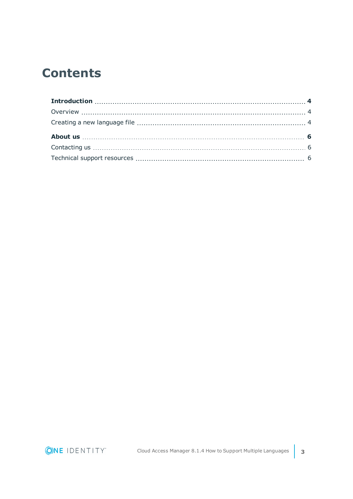### **Contents**

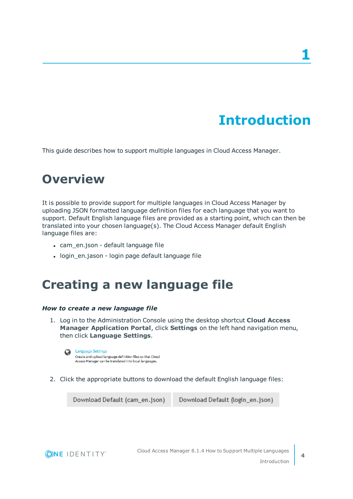# **Introduction**

<span id="page-3-1"></span><span id="page-3-0"></span>This guide describes how to support multiple languages in Cloud Access Manager.

# **Overview**

It is possible to provide support for multiple languages in Cloud Access Manager by uploading JSON formatted language definition files for each language that you want to support. Default English language files are provided as a starting point, which can then be translated into your chosen language(s). The Cloud Access Manager default English language files are:

- cam\_en.json default language file
- <span id="page-3-2"></span>• login\_en.jason - login page default language file

### **Creating a new language file**

### *How to create a new language file*

1. Log in to the Administration Console using the desktop shortcut **Cloud Access Manager Application Portal**, click **Settings** on the left hand navigation menu, then click **Language Settings**.

2. Click the appropriate buttons to download the default English language files:

Download Default (cam\_en.json)

Download Default (login\_en.json)



**4**

**Language Settings**  $\Omega$ Create and upload language definition files so that Cloud Access Manager can be translated into local languages.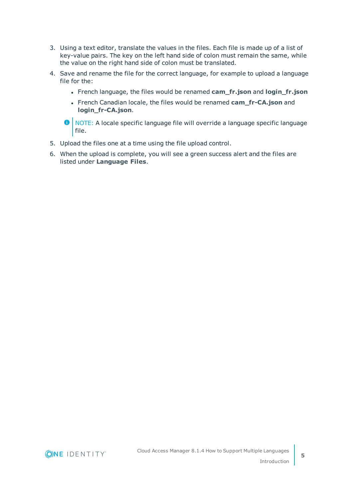- 3. Using a text editor, translate the values in the files. Each file is made up of a list of key-value pairs. The key on the left hand side of colon must remain the same, while the value on the right hand side of colon must be translated.
- 4. Save and rename the file for the correct language, for example to upload a language file for the:
	- <sup>l</sup> French language, the files would be renamed **cam\_fr.json** and **login\_fr.json**
	- <sup>l</sup> French Canadian locale, the files would be renamed **cam\_fr-CA.json** and **login\_fr-CA.json**.

O | NOTE: A locale specific language file will override a language specific language file.

- 5. Upload the files one at a time using the file upload control.
- 6. When the upload is complete, you will see a green success alert and the files are listed under **Language Files**.